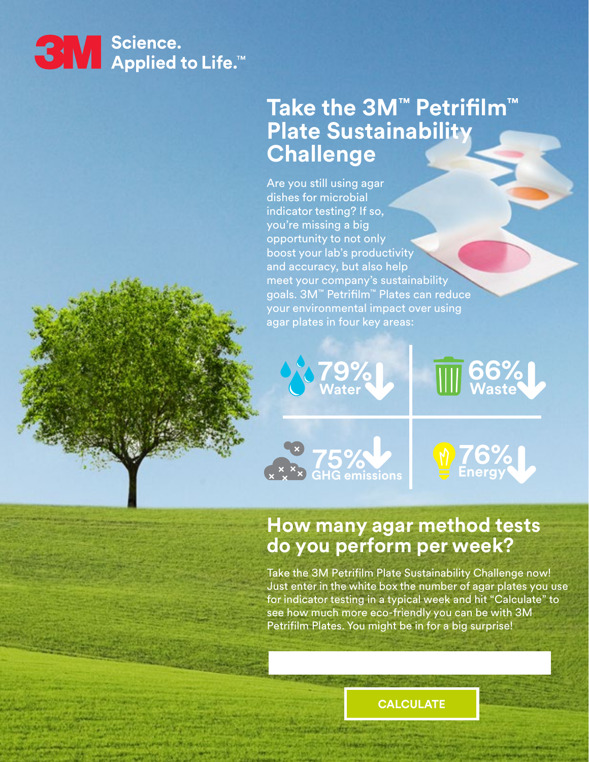

**79%**

**76% Energy**

**79%**

**76%**

**76% Energy**

### **Take the 3M™ Petrifilm™ Plate Sustainability Challenge**

Are you still using agar dishes for microbial indicator testing? If so, you're missing a big opportunity to not only boost your lab's productivity and accuracy, but also help meet your company's sustainability goals. 3M™ Petrifilm™ Plates can reduce your environmental impact over using agar plates in four key areas:



#### **How many agar method tests do you perform per week?**

Take the 3M Petrifilm Plate Sustainability Challenge now! Just enter in the white box the number of agar plates you use for indicator testing in a typical week and hit "Calculate" to see how much more eco-friendly you can be with 3M Petrifilm Plates. You might be in for a big surprise!

**CALCULATE**